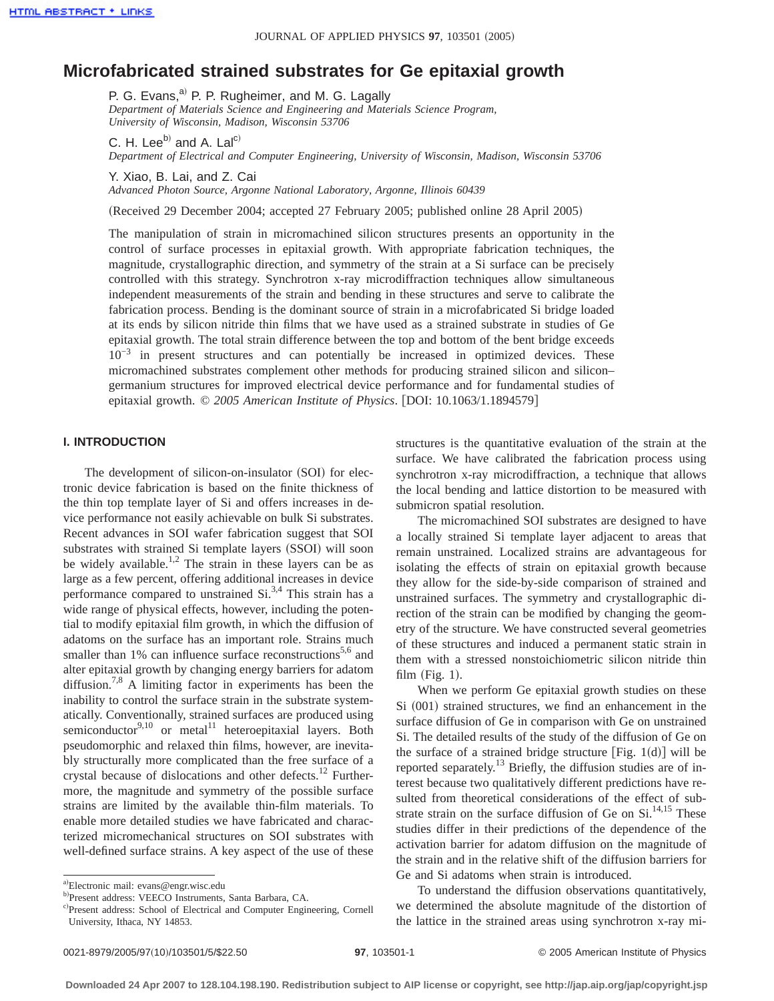# **Microfabricated strained substrates for Ge epitaxial growth**

P. G. Evans,<sup>a)</sup> P. P. Rugheimer, and M. G. Lagally *Department of Materials Science and Engineering and Materials Science Program, University of Wisconsin, Madison, Wisconsin 53706*

C. H. Lee $^{b)}$  and A. Lal<sup>c)</sup> *Department of Electrical and Computer Engineering, University of Wisconsin, Madison, Wisconsin 53706*

Y. Xiao, B. Lai, and Z. Cai

*Advanced Photon Source, Argonne National Laboratory, Argonne, Illinois 60439*

(Received 29 December 2004; accepted 27 February 2005; published online 28 April 2005)

The manipulation of strain in micromachined silicon structures presents an opportunity in the control of surface processes in epitaxial growth. With appropriate fabrication techniques, the magnitude, crystallographic direction, and symmetry of the strain at a Si surface can be precisely controlled with this strategy. Synchrotron x-ray microdiffraction techniques allow simultaneous independent measurements of the strain and bending in these structures and serve to calibrate the fabrication process. Bending is the dominant source of strain in a microfabricated Si bridge loaded at its ends by silicon nitride thin films that we have used as a strained substrate in studies of Ge epitaxial growth. The total strain difference between the top and bottom of the bent bridge exceeds 10−3 in present structures and can potentially be increased in optimized devices. These micromachined substrates complement other methods for producing strained silicon and silicon– germanium structures for improved electrical device performance and for fundamental studies of epitaxial growth. © 2005 American Institute of Physics. [DOI: 10.1063/1.1894579]

## **I. INTRODUCTION**

The development of silicon-on-insulator (SOI) for electronic device fabrication is based on the finite thickness of the thin top template layer of Si and offers increases in device performance not easily achievable on bulk Si substrates. Recent advances in SOI wafer fabrication suggest that SOI substrates with strained Si template layers (SSOI) will soon be widely available.<sup>1,2</sup> The strain in these layers can be as large as a few percent, offering additional increases in device performance compared to unstrained Si.<sup>3,4</sup> This strain has a wide range of physical effects, however, including the potential to modify epitaxial film growth, in which the diffusion of adatoms on the surface has an important role. Strains much smaller than 1% can influence surface reconstructions<sup>5,6</sup> and alter epitaxial growth by changing energy barriers for adatom diffusion.<sup>7,8</sup> A limiting factor in experiments has been the inability to control the surface strain in the substrate systematically. Conventionally, strained surfaces are produced using semiconductor<sup>9,10</sup> or metal<sup>11</sup> heteroepitaxial layers. Both pseudomorphic and relaxed thin films, however, are inevitably structurally more complicated than the free surface of a crystal because of dislocations and other defects.<sup>12</sup> Furthermore, the magnitude and symmetry of the possible surface strains are limited by the available thin-film materials. To enable more detailed studies we have fabricated and characterized micromechanical structures on SOI substrates with well-defined surface strains. A key aspect of the use of these

structures is the quantitative evaluation of the strain at the surface. We have calibrated the fabrication process using synchrotron x-ray microdiffraction, a technique that allows the local bending and lattice distortion to be measured with submicron spatial resolution.

The micromachined SOI substrates are designed to have a locally strained Si template layer adjacent to areas that remain unstrained. Localized strains are advantageous for isolating the effects of strain on epitaxial growth because they allow for the side-by-side comparison of strained and unstrained surfaces. The symmetry and crystallographic direction of the strain can be modified by changing the geometry of the structure. We have constructed several geometries of these structures and induced a permanent static strain in them with a stressed nonstoichiometric silicon nitride thin film  $(Fig. 1)$ .

When we perform Ge epitaxial growth studies on these  $Si (001)$  strained structures, we find an enhancement in the surface diffusion of Ge in comparison with Ge on unstrained Si. The detailed results of the study of the diffusion of Ge on the surface of a strained bridge structure  $[Fig. 1(d)]$  will be reported separately.13 Briefly, the diffusion studies are of interest because two qualitatively different predictions have resulted from theoretical considerations of the effect of substrate strain on the surface diffusion of Ge on  $Si$ <sup>14,15</sup> These studies differ in their predictions of the dependence of the activation barrier for adatom diffusion on the magnitude of the strain and in the relative shift of the diffusion barriers for Ge and Si adatoms when strain is introduced.

To understand the diffusion observations quantitatively, we determined the absolute magnitude of the distortion of the lattice in the strained areas using synchrotron x-ray mi-

a)Electronic mail: evans@engr.wisc.edu

b) Present address: VEECO Instruments, Santa Barbara, CA.

c)Present address: School of Electrical and Computer Engineering, Cornell University, Ithaca, NY 14853.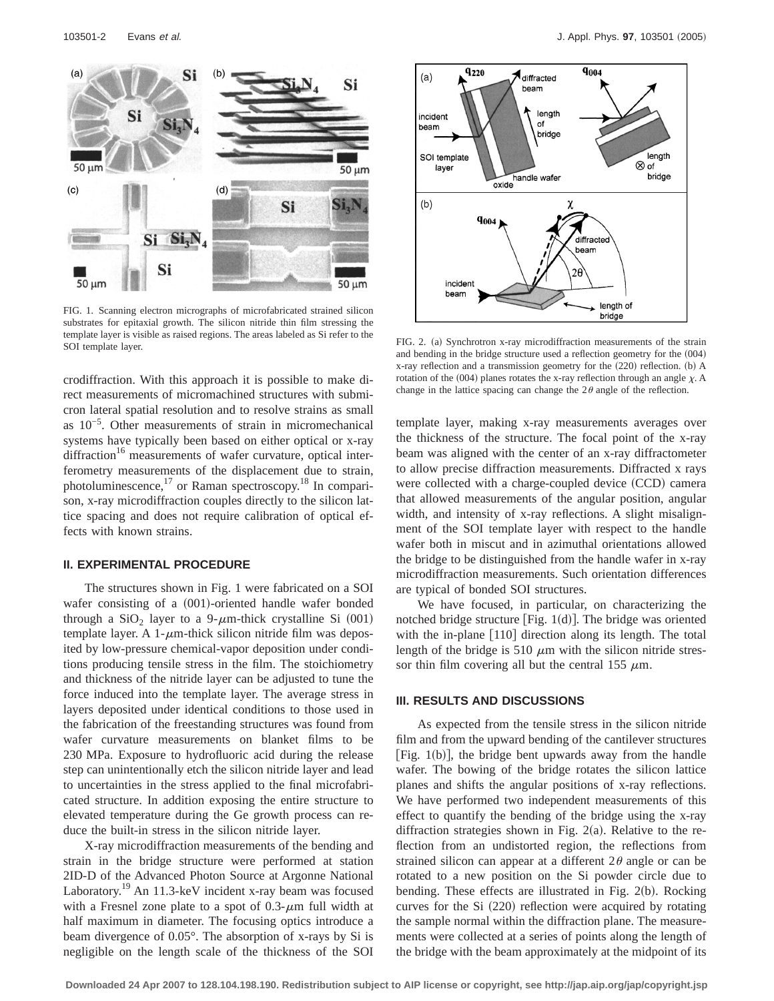

FIG. 1. Scanning electron micrographs of microfabricated strained silicon substrates for epitaxial growth. The silicon nitride thin film stressing the template layer is visible as raised regions. The areas labeled as Si refer to the SOI template layer. Solid as raised regions. The areas habeled as of refer to the FIG. 2. (a) Synchrotron x-ray microdiffraction measurements of the strain SOI template layer.

crodiffraction. With this approach it is possible to make direct measurements of micromachined structures with submicron lateral spatial resolution and to resolve strains as small as 10−5. Other measurements of strain in micromechanical systems have typically been based on either optical or x-ray diffraction<sup>16</sup> measurements of wafer curvature, optical interferometry measurements of the displacement due to strain, photoluminescence,<sup>17</sup> or Raman spectroscopy.<sup>18</sup> In comparison, x-ray microdiffraction couples directly to the silicon lattice spacing and does not require calibration of optical effects with known strains.

#### **II. EXPERIMENTAL PROCEDURE**

The structures shown in Fig. 1 were fabricated on a SOI wafer consisting of a  $(001)$ -oriented handle wafer bonded through a  $SiO<sub>2</sub>$  layer to a 9- $\mu$ m-thick crystalline Si (001) template layer. A 1- $\mu$ m-thick silicon nitride film was deposited by low-pressure chemical-vapor deposition under conditions producing tensile stress in the film. The stoichiometry and thickness of the nitride layer can be adjusted to tune the force induced into the template layer. The average stress in layers deposited under identical conditions to those used in the fabrication of the freestanding structures was found from wafer curvature measurements on blanket films to be 230 MPa. Exposure to hydrofluoric acid during the release step can unintentionally etch the silicon nitride layer and lead to uncertainties in the stress applied to the final microfabricated structure. In addition exposing the entire structure to elevated temperature during the Ge growth process can reduce the built-in stress in the silicon nitride layer.

X-ray microdiffraction measurements of the bending and strain in the bridge structure were performed at station 2ID-D of the Advanced Photon Source at Argonne National Laboratory.<sup>19</sup> An 11.3-keV incident x-ray beam was focused with a Fresnel zone plate to a spot of  $0.3$ - $\mu$ m full width at half maximum in diameter. The focusing optics introduce a beam divergence of 0.05°. The absorption of x-rays by Si is negligible on the length scale of the thickness of the SOI



and bending in the bridge structure used a reflection geometry for the  $(004)$ x-ray reflection and a transmission geometry for the  $(220)$  reflection. (b) A rotation of the (004) planes rotates the x-ray reflection through an angle  $\chi$ . A change in the lattice spacing can change the  $2\theta$  angle of the reflection.

template layer, making x-ray measurements averages over the thickness of the structure. The focal point of the x-ray beam was aligned with the center of an x-ray diffractometer to allow precise diffraction measurements. Diffracted x rays were collected with a charge-coupled device (CCD) camera that allowed measurements of the angular position, angular width, and intensity of x-ray reflections. A slight misalignment of the SOI template layer with respect to the handle wafer both in miscut and in azimuthal orientations allowed the bridge to be distinguished from the handle wafer in x-ray microdiffraction measurements. Such orientation differences are typical of bonded SOI structures.

We have focused, in particular, on characterizing the notched bridge structure [Fig.  $1(d)$ ]. The bridge was oriented with the in-plane  $[110]$  direction along its length. The total length of the bridge is 510  $\mu$ m with the silicon nitride stressor thin film covering all but the central 155  $\mu$ m.

#### **III. RESULTS AND DISCUSSIONS**

As expected from the tensile stress in the silicon nitride film and from the upward bending of the cantilever structures [Fig. 1(b)], the bridge bent upwards away from the handle wafer. The bowing of the bridge rotates the silicon lattice planes and shifts the angular positions of x-ray reflections. We have performed two independent measurements of this effect to quantify the bending of the bridge using the x-ray diffraction strategies shown in Fig. 2(a). Relative to the reflection from an undistorted region, the reflections from strained silicon can appear at a different  $2\theta$  angle or can be rotated to a new position on the Si powder circle due to bending. These effects are illustrated in Fig.  $2(b)$ . Rocking curves for the Si  $(220)$  reflection were acquired by rotating the sample normal within the diffraction plane. The measurements were collected at a series of points along the length of the bridge with the beam approximately at the midpoint of its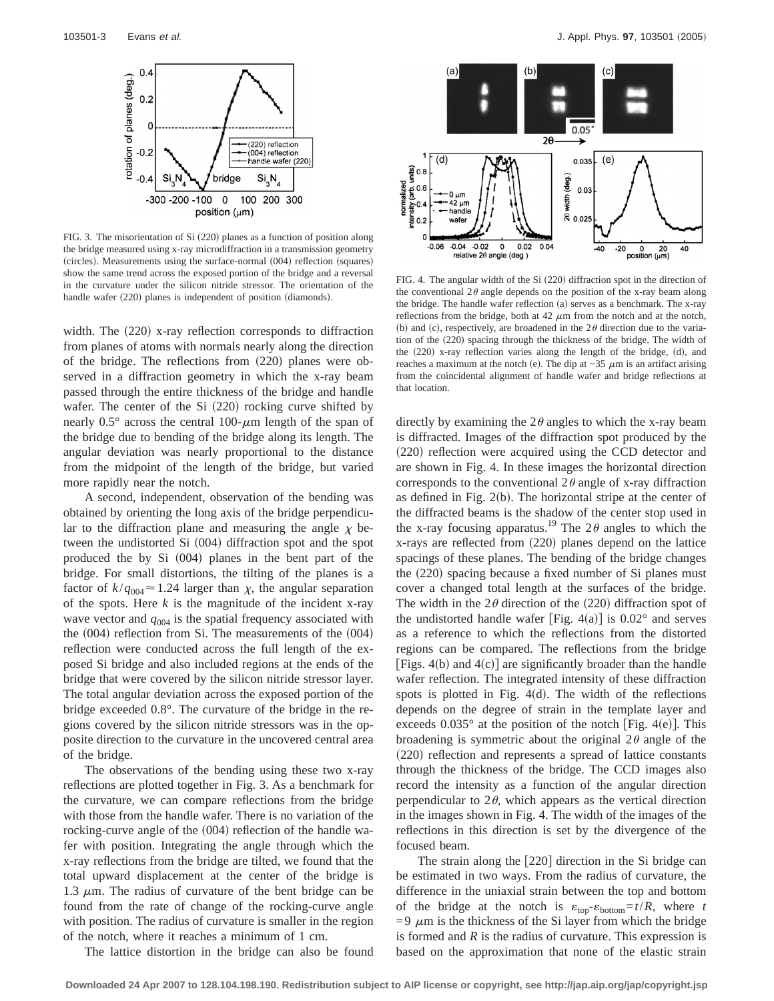

FIG. 3. The misorientation of Si (220) planes as a function of position along the bridge measured using x-ray microdiffraction in a transmission geometry (circles). Measurements using the surface-normal (004) reflection (squares) show the same trend across the exposed portion of the bridge and a reversal in the curvature under the silicon nitride stressor. The orientation of the handle wafer (220) planes is independent of position (diamonds).

width. The  $(220)$  x-ray reflection corresponds to diffraction from planes of atoms with normals nearly along the direction of the bridge. The reflections from  $(220)$  planes were observed in a diffraction geometry in which the x-ray beam passed through the entire thickness of the bridge and handle wafer. The center of the Si  $(220)$  rocking curve shifted by nearly 0.5 $^{\circ}$  across the central 100- $\mu$ m length of the span of the bridge due to bending of the bridge along its length. The angular deviation was nearly proportional to the distance from the midpoint of the length of the bridge, but varied more rapidly near the notch.

A second, independent, observation of the bending was obtained by orienting the long axis of the bridge perpendicular to the diffraction plane and measuring the angle  $\chi$  between the undistorted Si  $(004)$  diffraction spot and the spot produced the by Si  $(004)$  planes in the bent part of the bridge. For small distortions, the tilting of the planes is a factor of  $k/q_{004} \approx 1.24$  larger than  $\chi$ , the angular separation of the spots. Here  $k$  is the magnitude of the incident x-ray wave vector and  $q_{004}$  is the spatial frequency associated with the  $(004)$  reflection from Si. The measurements of the  $(004)$ reflection were conducted across the full length of the exposed Si bridge and also included regions at the ends of the bridge that were covered by the silicon nitride stressor layer. The total angular deviation across the exposed portion of the bridge exceeded 0.8°. The curvature of the bridge in the regions covered by the silicon nitride stressors was in the opposite direction to the curvature in the uncovered central area of the bridge.

The observations of the bending using these two x-ray reflections are plotted together in Fig. 3. As a benchmark for the curvature, we can compare reflections from the bridge with those from the handle wafer. There is no variation of the rocking-curve angle of the  $(004)$  reflection of the handle wafer with position. Integrating the angle through which the x-ray reflections from the bridge are tilted, we found that the total upward displacement at the center of the bridge is 1.3  $\mu$ m. The radius of curvature of the bent bridge can be found from the rate of change of the rocking-curve angle with position. The radius of curvature is smaller in the region of the notch, where it reaches a minimum of 1 cm.



FIG. 4. The angular width of the Si  $(220)$  diffraction spot in the direction of the conventional  $2\theta$  angle depends on the position of the x-ray beam along the bridge. The handle wafer reflection (a) serves as a benchmark. The  $x$ -ray reflections from the bridge, both at 42  $\mu$ m from the notch and at the notch, (b) and (c), respectively, are broadened in the  $2\theta$  direction due to the variation of the (220) spacing through the thickness of the bridge. The width of the  $(220)$  x-ray reflection varies along the length of the bridge,  $(d)$ , and reaches a maximum at the notch (e). The dip at  $-35 \mu$ m is an artifact arising from the coincidental alignment of handle wafer and bridge reflections at that location.

directly by examining the  $2\theta$  angles to which the x-ray beam is diffracted. Images of the diffraction spot produced by the  $(220)$  reflection were acquired using the CCD detector and are shown in Fig. 4. In these images the horizontal direction corresponds to the conventional  $2\theta$  angle of x-ray diffraction as defined in Fig.  $2(b)$ . The horizontal stripe at the center of the diffracted beams is the shadow of the center stop used in the x-ray focusing apparatus.<sup>19</sup> The  $2\theta$  angles to which the  $x$ -rays are reflected from  $(220)$  planes depend on the lattice spacings of these planes. The bending of the bridge changes the  $(220)$  spacing because a fixed number of Si planes must cover a changed total length at the surfaces of the bridge. The width in the  $2\theta$  direction of the (220) diffraction spot of the undistorted handle wafer [Fig. 4(a)] is  $0.02^{\circ}$  and serves as a reference to which the reflections from the distorted regions can be compared. The reflections from the bridge [Figs. 4(b) and  $4(c)$ ] are significantly broader than the handle wafer reflection. The integrated intensity of these diffraction spots is plotted in Fig.  $4(d)$ . The width of the reflections depends on the degree of strain in the template layer and exceeds  $0.035^{\circ}$  at the position of the notch [Fig. 4(e)]. This broadening is symmetric about the original  $2\theta$  angle of the  $(220)$  reflection and represents a spread of lattice constants through the thickness of the bridge. The CCD images also record the intensity as a function of the angular direction perpendicular to  $2\theta$ , which appears as the vertical direction in the images shown in Fig. 4. The width of the images of the reflections in this direction is set by the divergence of the focused beam.

The strain along the  $[220]$  direction in the Si bridge can be estimated in two ways. From the radius of curvature, the difference in the uniaxial strain between the top and bottom of the bridge at the notch is  $\varepsilon_{\text{top}} - \varepsilon_{\text{bottom}} = t/R$ , where *t*  $=9 \mu m$  is the thickness of the Si layer from which the bridge is formed and *R* is the radius of curvature. This expression is based on the approximation that none of the elastic strain

The lattice distortion in the bridge can also be found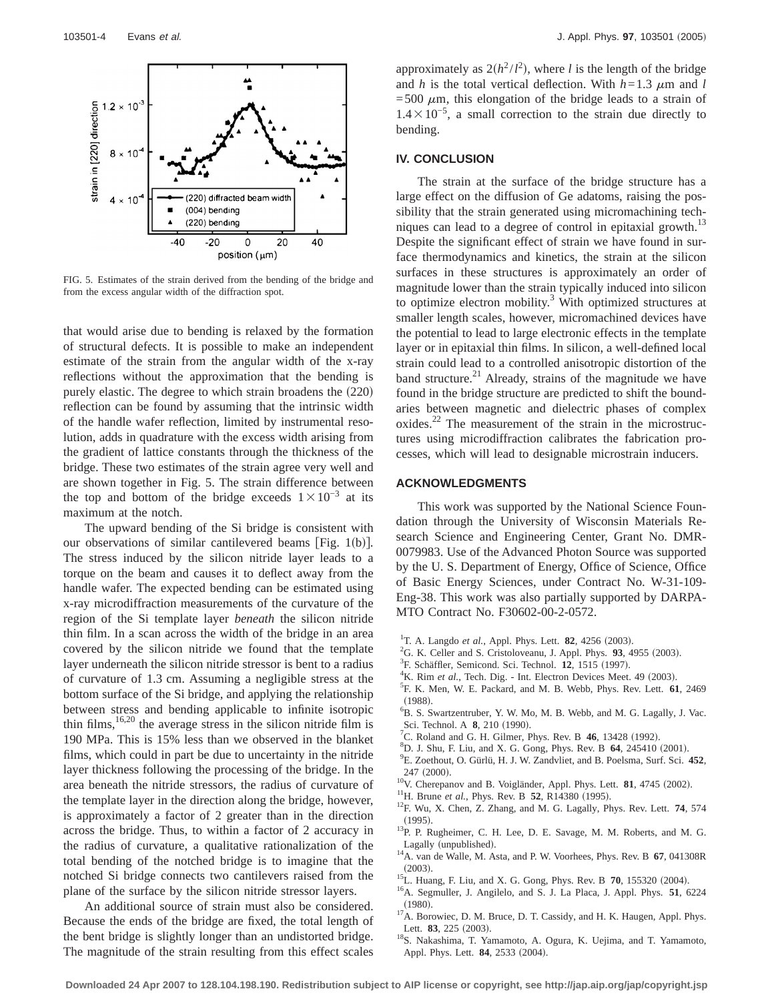

FIG. 5. Estimates of the strain derived from the bending of the bridge and from the excess angular width of the diffraction spot.

that would arise due to bending is relaxed by the formation of structural defects. It is possible to make an independent estimate of the strain from the angular width of the x-ray reflections without the approximation that the bending is purely elastic. The degree to which strain broadens the  $(220)$ reflection can be found by assuming that the intrinsic width of the handle wafer reflection, limited by instrumental resolution, adds in quadrature with the excess width arising from the gradient of lattice constants through the thickness of the bridge. These two estimates of the strain agree very well and are shown together in Fig. 5. The strain difference between the top and bottom of the bridge exceeds  $1\times10^{-3}$  at its maximum at the notch.

The upward bending of the Si bridge is consistent with our observations of similar cantilevered beams [Fig.  $1(b)$ ]. The stress induced by the silicon nitride layer leads to a torque on the beam and causes it to deflect away from the handle wafer. The expected bending can be estimated using x-ray microdiffraction measurements of the curvature of the region of the Si template layer *beneath* the silicon nitride thin film. In a scan across the width of the bridge in an area covered by the silicon nitride we found that the template layer underneath the silicon nitride stressor is bent to a radius of curvature of 1.3 cm. Assuming a negligible stress at the bottom surface of the Si bridge, and applying the relationship between stress and bending applicable to infinite isotropic thin films,<sup>16,20</sup> the average stress in the silicon nitride film is 190 MPa. This is 15% less than we observed in the blanket films, which could in part be due to uncertainty in the nitride layer thickness following the processing of the bridge. In the area beneath the nitride stressors, the radius of curvature of the template layer in the direction along the bridge, however, is approximately a factor of 2 greater than in the direction across the bridge. Thus, to within a factor of 2 accuracy in the radius of curvature, a qualitative rationalization of the total bending of the notched bridge is to imagine that the notched Si bridge connects two cantilevers raised from the plane of the surface by the silicon nitride stressor layers.

An additional source of strain must also be considered. Because the ends of the bridge are fixed, the total length of the bent bridge is slightly longer than an undistorted bridge. The magnitude of the strain resulting from this effect scales

approximately as  $2(h^2/l^2)$ , where *l* is the length of the bridge and *h* is the total vertical deflection. With  $h=1.3 \mu$ m and *l*  $=500 \mu m$ , this elongation of the bridge leads to a strain of  $1.4 \times 10^{-5}$ , a small correction to the strain due directly to bending.

## **IV. CONCLUSION**

The strain at the surface of the bridge structure has a large effect on the diffusion of Ge adatoms, raising the possibility that the strain generated using micromachining techniques can lead to a degree of control in epitaxial growth.<sup>13</sup> Despite the significant effect of strain we have found in surface thermodynamics and kinetics, the strain at the silicon surfaces in these structures is approximately an order of magnitude lower than the strain typically induced into silicon to optimize electron mobility. $3$  With optimized structures at smaller length scales, however, micromachined devices have the potential to lead to large electronic effects in the template layer or in epitaxial thin films. In silicon, a well-defined local strain could lead to a controlled anisotropic distortion of the band structure. $^{21}$  Already, strains of the magnitude we have found in the bridge structure are predicted to shift the boundaries between magnetic and dielectric phases of complex  $oxides.<sup>22</sup>$  The measurement of the strain in the microstructures using microdiffraction calibrates the fabrication processes, which will lead to designable microstrain inducers.

## **ACKNOWLEDGMENTS**

This work was supported by the National Science Foundation through the University of Wisconsin Materials Research Science and Engineering Center, Grant No. DMR-0079983. Use of the Advanced Photon Source was supported by the U. S. Department of Energy, Office of Science, Office of Basic Energy Sciences, under Contract No. W-31-109- Eng-38. This work was also partially supported by DARPA-MTO Contract No. F30602-00-2-0572.

- <sup>1</sup>T. A. Langdo *et al.*, Appl. Phys. Lett. **82**, 4256 (2003).
- ${}^{2}$ G. K. Celler and S. Cristoloveanu, J. Appl. Phys. **93**, 4955 (2003).
- <sup>3</sup>F. Schäffler, Semicond. Sci. Technol. **12**, 1515 (1997).
- <sup>4</sup>K. Rim *et al.*, Tech. Dig. Int. Electron Devices Meet. 49 (2003).
- F. K. Men, W. E. Packard, and M. B. Webb, Phys. Rev. Lett. **61**, 2469  $(1988).$
- B. S. Swartzentruber, Y. W. Mo, M. B. Webb, and M. G. Lagally, J. Vac. Sci. Technol. A **8**, 210 (1990).
- <sup>7</sup>C. Roland and G. H. Gilmer, Phys. Rev. B  $46$ , 13428 (1992).
- <sup>8</sup>D. J. Shu, F. Liu, and X. G. Gong, Phys. Rev. B **64**, 245410 (2001).
- E. Zoethout, O. Gürlü, H. J. W. Zandvliet, and B. Poelsma, Surf. Sci. **452**,
- 
- 
- 247 (2000).<br><sup>10</sup>V. Cherepanov and B. Voigländer, Appl. Phys. Lett. **81**, 4745 (2002).<br><sup>11</sup>H. Brune *et al.*, Phys. Rev. B 52, R14380 (1995).<br><sup>12</sup>F. Wu, X. Chen, Z. Zhang, and M. G. Lagally, Phys. Rev. Lett. **74**, 574
- (1995).  $^{13}$ P. P. Rugheimer, C. H. Lee, D. E. Savage, M. M. Roberts, and M. G.
- Lagally (unpublished). 14A. van de Walle, M. Asta, and P. W. Voorhees, Phys. Rev. B **67**, 041308R
- 
- <sup>15</sup>L. Huang, F. Liu, and X. G. Gong, Phys. Rev. B **70**, 155320 (2004). <sup>15</sup>L. Huang, F. Liu, and X. G. Gong, Phys. Rev. B **70**, 155320 (2004). <sup>16</sup>A. Segmuller, J. Angilelo, and S. J. La Placa, J. Appl. Phys. **51**, 6224
- (1980).  $17A$ . Borowiec, D. M. Bruce, D. T. Cassidy, and H. K. Haugen, Appl. Phys.
- Lett. **83**, 225 (2003). <sup>18</sup>S. Nakashima, T. Yamamoto, A. Ogura, K. Uejima, and T. Yamamoto, Appl. Phys. Lett. **84**, 2533 (2004).